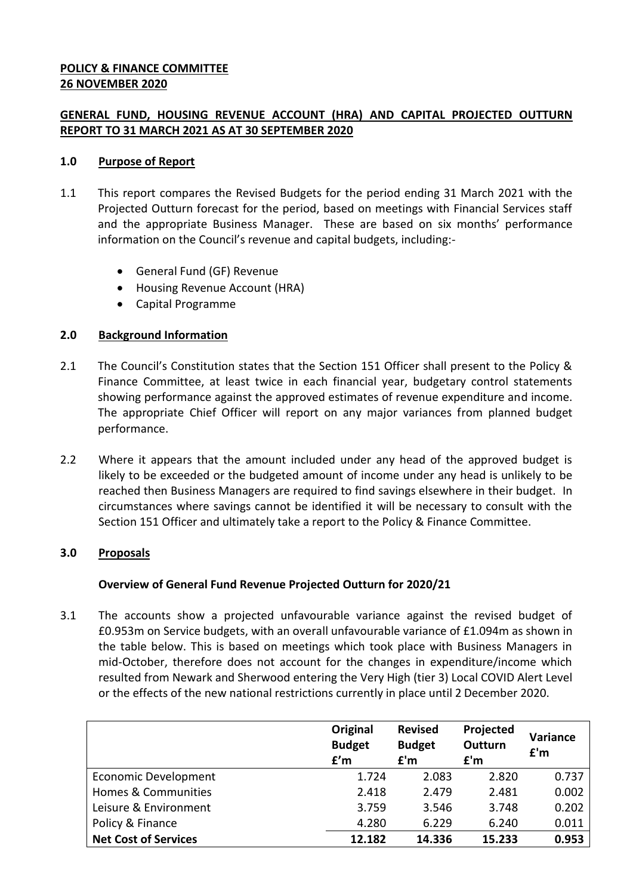### **POLICY & FINANCE COMMITTEE 26 NOVEMBER 2020**

# **GENERAL FUND, HOUSING REVENUE ACCOUNT (HRA) AND CAPITAL PROJECTED OUTTURN REPORT TO 31 MARCH 2021 AS AT 30 SEPTEMBER 2020**

### **1.0 Purpose of Report**

- 1.1 This report compares the Revised Budgets for the period ending 31 March 2021 with the Projected Outturn forecast for the period, based on meetings with Financial Services staff and the appropriate Business Manager. These are based on six months' performance information on the Council's revenue and capital budgets, including:-
	- General Fund (GF) Revenue
	- Housing Revenue Account (HRA)
	- Capital Programme

### **2.0 Background Information**

- 2.1 The Council's Constitution states that the Section 151 Officer shall present to the Policy & Finance Committee, at least twice in each financial year, budgetary control statements showing performance against the approved estimates of revenue expenditure and income. The appropriate Chief Officer will report on any major variances from planned budget performance.
- 2.2 Where it appears that the amount included under any head of the approved budget is likely to be exceeded or the budgeted amount of income under any head is unlikely to be reached then Business Managers are required to find savings elsewhere in their budget. In circumstances where savings cannot be identified it will be necessary to consult with the Section 151 Officer and ultimately take a report to the Policy & Finance Committee.

# **3.0 Proposals**

# **Overview of General Fund Revenue Projected Outturn for 2020/21**

3.1 The accounts show a projected unfavourable variance against the revised budget of £0.953m on Service budgets, with an overall unfavourable variance of £1.094m as shown in the table below. This is based on meetings which took place with Business Managers in mid-October, therefore does not account for the changes in expenditure/income which resulted from Newark and Sherwood entering the Very High (tier 3) Local COVID Alert Level or the effects of the new national restrictions currently in place until 2 December 2020.

|                             | Original<br><b>Budget</b><br>f'm | <b>Revised</b><br><b>Budget</b><br>f'm | Projected<br><b>Outturn</b><br>f'm | <b>Variance</b><br>f'm |
|-----------------------------|----------------------------------|----------------------------------------|------------------------------------|------------------------|
| Economic Development        | 1.724                            | 2.083                                  | 2.820                              | 0.737                  |
| Homes & Communities         | 2.418                            | 2.479                                  | 2.481                              | 0.002                  |
| Leisure & Environment       | 3.759                            | 3.546                                  | 3.748                              | 0.202                  |
| Policy & Finance            | 4.280                            | 6.229                                  | 6.240                              | 0.011                  |
| <b>Net Cost of Services</b> | 12.182                           | 14.336                                 | 15.233                             | 0.953                  |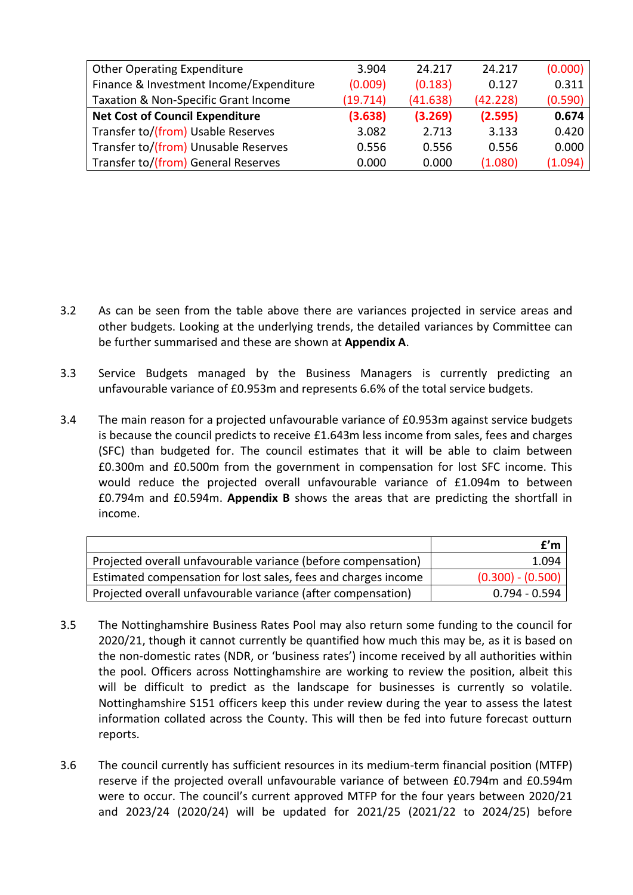| <b>Other Operating Expenditure</b>      | 3.904    | 24.217   | 24.217   | (0.000) |
|-----------------------------------------|----------|----------|----------|---------|
| Finance & Investment Income/Expenditure | (0.009)  | (0.183)  | 0.127    | 0.311   |
| Taxation & Non-Specific Grant Income    | (19.714) | (41.638) | (42.228) | (0.590) |
| <b>Net Cost of Council Expenditure</b>  | (3.638)  | (3.269)  | (2.595)  | 0.674   |
| Transfer to/(from) Usable Reserves      | 3.082    | 2.713    | 3.133    | 0.420   |
| Transfer to/(from) Unusable Reserves    | 0.556    | 0.556    | 0.556    | 0.000   |
| Transfer to/(from) General Reserves     | 0.000    | 0.000    | (1.080)  | (1.094) |

- 3.2 As can be seen from the table above there are variances projected in service areas and other budgets. Looking at the underlying trends, the detailed variances by Committee can be further summarised and these are shown at **Appendix A**.
- 3.3 Service Budgets managed by the Business Managers is currently predicting an unfavourable variance of £0.953m and represents 6.6% of the total service budgets.
- 3.4 The main reason for a projected unfavourable variance of £0.953m against service budgets is because the council predicts to receive £1.643m less income from sales, fees and charges (SFC) than budgeted for. The council estimates that it will be able to claim between £0.300m and £0.500m from the government in compensation for lost SFC income. This would reduce the projected overall unfavourable variance of £1.094m to between £0.794m and £0.594m. **Appendix B** shows the areas that are predicting the shortfall in income.

|                                                                | f'm                 |
|----------------------------------------------------------------|---------------------|
| Projected overall unfavourable variance (before compensation)  | 1.094               |
| Estimated compensation for lost sales, fees and charges income | $(0.300) - (0.500)$ |
| Projected overall unfavourable variance (after compensation)   | $0.794 - 0.594$     |

- 3.5 The Nottinghamshire Business Rates Pool may also return some funding to the council for 2020/21, though it cannot currently be quantified how much this may be, as it is based on the non-domestic rates (NDR, or 'business rates') income received by all authorities within the pool. Officers across Nottinghamshire are working to review the position, albeit this will be difficult to predict as the landscape for businesses is currently so volatile. Nottinghamshire S151 officers keep this under review during the year to assess the latest information collated across the County. This will then be fed into future forecast outturn reports.
- 3.6 The council currently has sufficient resources in its medium-term financial position (MTFP) reserve if the projected overall unfavourable variance of between £0.794m and £0.594m were to occur. The council's current approved MTFP for the four years between 2020/21 and 2023/24 (2020/24) will be updated for 2021/25 (2021/22 to 2024/25) before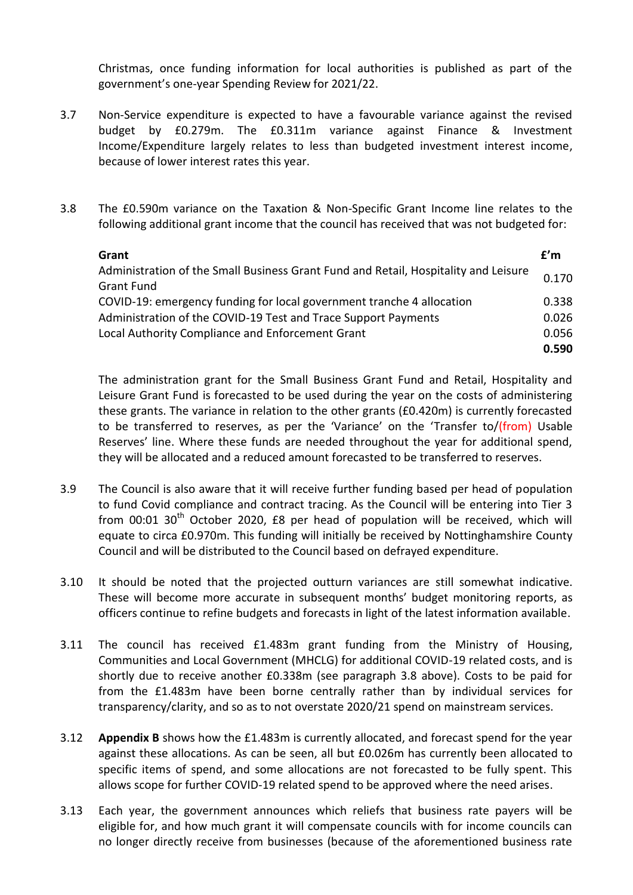Christmas, once funding information for local authorities is published as part of the government's one-year Spending Review for 2021/22.

- 3.7 Non-Service expenditure is expected to have a favourable variance against the revised budget by £0.279m. The £0.311m variance against Finance & Investment Income/Expenditure largely relates to less than budgeted investment interest income, because of lower interest rates this year.
- 3.8 The £0.590m variance on the Taxation & Non-Specific Grant Income line relates to the following additional grant income that the council has received that was not budgeted for:

| Grant                                                                               | f'm   |
|-------------------------------------------------------------------------------------|-------|
| Administration of the Small Business Grant Fund and Retail, Hospitality and Leisure | 0.170 |
| <b>Grant Fund</b>                                                                   |       |
| COVID-19: emergency funding for local government tranche 4 allocation               | 0.338 |
| Administration of the COVID-19 Test and Trace Support Payments                      | 0.026 |
| Local Authority Compliance and Enforcement Grant                                    | 0.056 |
|                                                                                     | 0.590 |

The administration grant for the Small Business Grant Fund and Retail, Hospitality and Leisure Grant Fund is forecasted to be used during the year on the costs of administering these grants. The variance in relation to the other grants (£0.420m) is currently forecasted to be transferred to reserves, as per the 'Variance' on the 'Transfer to/(from) Usable Reserves' line. Where these funds are needed throughout the year for additional spend, they will be allocated and a reduced amount forecasted to be transferred to reserves.

- 3.9 The Council is also aware that it will receive further funding based per head of population to fund Covid compliance and contract tracing. As the Council will be entering into Tier 3 from 00:01  $30<sup>th</sup>$  October 2020, £8 per head of population will be received, which will equate to circa £0.970m. This funding will initially be received by Nottinghamshire County Council and will be distributed to the Council based on defrayed expenditure.
- 3.10 It should be noted that the projected outturn variances are still somewhat indicative. These will become more accurate in subsequent months' budget monitoring reports, as officers continue to refine budgets and forecasts in light of the latest information available.
- 3.11 The council has received £1.483m grant funding from the Ministry of Housing, Communities and Local Government (MHCLG) for additional COVID-19 related costs, and is shortly due to receive another £0.338m (see paragraph 3.8 above). Costs to be paid for from the £1.483m have been borne centrally rather than by individual services for transparency/clarity, and so as to not overstate 2020/21 spend on mainstream services.
- 3.12 **Appendix B** shows how the £1.483m is currently allocated, and forecast spend for the year against these allocations. As can be seen, all but £0.026m has currently been allocated to specific items of spend, and some allocations are not forecasted to be fully spent. This allows scope for further COVID-19 related spend to be approved where the need arises.
- 3.13 Each year, the government announces which reliefs that business rate payers will be eligible for, and how much grant it will compensate councils with for income councils can no longer directly receive from businesses (because of the aforementioned business rate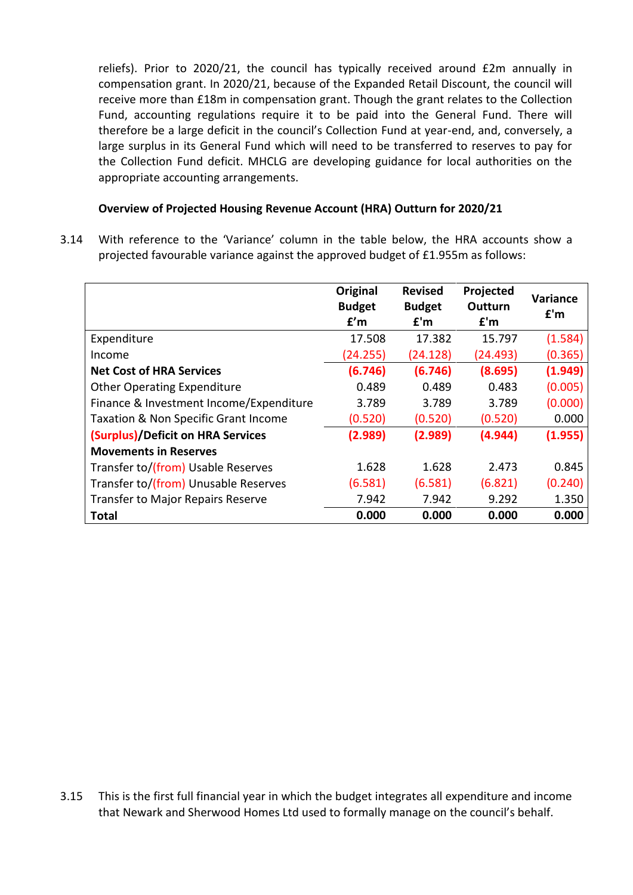reliefs). Prior to 2020/21, the council has typically received around £2m annually in compensation grant. In 2020/21, because of the Expanded Retail Discount, the council will receive more than £18m in compensation grant. Though the grant relates to the Collection Fund, accounting regulations require it to be paid into the General Fund. There will therefore be a large deficit in the council's Collection Fund at year-end, and, conversely, a large surplus in its General Fund which will need to be transferred to reserves to pay for the Collection Fund deficit. MHCLG are developing guidance for local authorities on the appropriate accounting arrangements.

### **Overview of Projected Housing Revenue Account (HRA) Outturn for 2020/21**

3.14 With reference to the 'Variance' column in the table below, the HRA accounts show a projected favourable variance against the approved budget of £1.955m as follows:

|                                          | Original<br><b>Budget</b><br>f'm | <b>Revised</b><br><b>Budget</b><br>f'm | Projected<br>Outturn<br>f'm | <b>Variance</b><br>f'm |
|------------------------------------------|----------------------------------|----------------------------------------|-----------------------------|------------------------|
| Expenditure                              | 17.508                           | 17.382                                 | 15.797                      | (1.584)                |
| Income                                   | (24.255)                         | (24.128)                               | (24.493)                    | (0.365)                |
| <b>Net Cost of HRA Services</b>          | (6.746)                          | (6.746)                                | (8.695)                     | (1.949)                |
| <b>Other Operating Expenditure</b>       | 0.489                            | 0.489                                  | 0.483                       | (0.005)                |
| Finance & Investment Income/Expenditure  | 3.789                            | 3.789                                  | 3.789                       | (0.000)                |
| Taxation & Non Specific Grant Income     | (0.520)                          | (0.520)                                | (0.520)                     | 0.000                  |
| (Surplus)/Deficit on HRA Services        | (2.989)                          | (2.989)                                | (4.944)                     | (1.955)                |
| <b>Movements in Reserves</b>             |                                  |                                        |                             |                        |
| Transfer to/(from) Usable Reserves       | 1.628                            | 1.628                                  | 2.473                       | 0.845                  |
| Transfer to/(from) Unusable Reserves     | (6.581)                          | (6.581)                                | (6.821)                     | (0.240)                |
| <b>Transfer to Major Repairs Reserve</b> | 7.942                            | 7.942                                  | 9.292                       | 1.350                  |
| <b>Total</b>                             | 0.000                            | 0.000                                  | 0.000                       | 0.000                  |

3.15 This is the first full financial year in which the budget integrates all expenditure and income that Newark and Sherwood Homes Ltd used to formally manage on the council's behalf.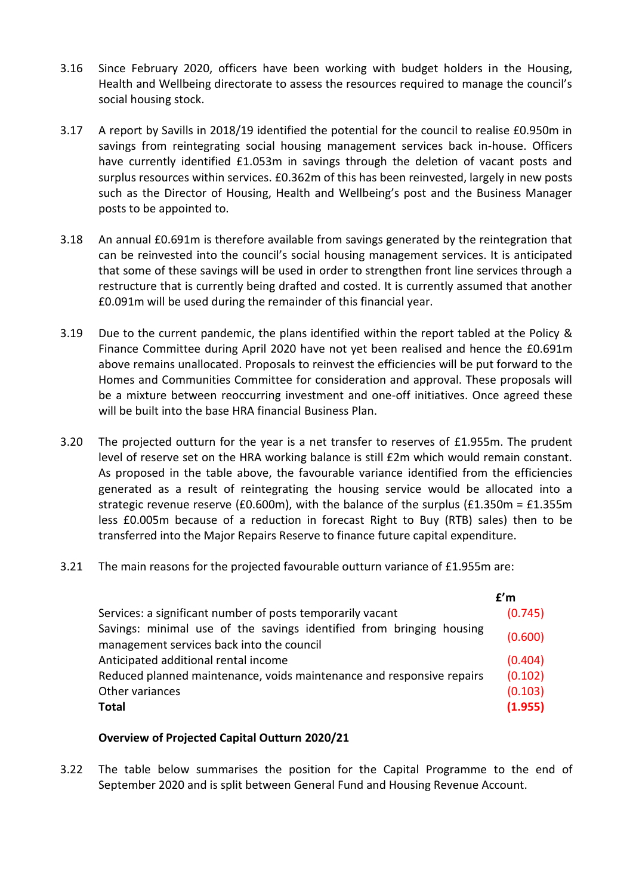- 3.16 Since February 2020, officers have been working with budget holders in the Housing, Health and Wellbeing directorate to assess the resources required to manage the council's social housing stock.
- 3.17 A report by Savills in 2018/19 identified the potential for the council to realise £0.950m in savings from reintegrating social housing management services back in-house. Officers have currently identified £1.053m in savings through the deletion of vacant posts and surplus resources within services. £0.362m of this has been reinvested, largely in new posts such as the Director of Housing, Health and Wellbeing's post and the Business Manager posts to be appointed to.
- 3.18 An annual £0.691m is therefore available from savings generated by the reintegration that can be reinvested into the council's social housing management services. It is anticipated that some of these savings will be used in order to strengthen front line services through a restructure that is currently being drafted and costed. It is currently assumed that another £0.091m will be used during the remainder of this financial year.
- 3.19 Due to the current pandemic, the plans identified within the report tabled at the Policy & Finance Committee during April 2020 have not yet been realised and hence the £0.691m above remains unallocated. Proposals to reinvest the efficiencies will be put forward to the Homes and Communities Committee for consideration and approval. These proposals will be a mixture between reoccurring investment and one-off initiatives. Once agreed these will be built into the base HRA financial Business Plan.
- 3.20 The projected outturn for the year is a net transfer to reserves of £1.955m. The prudent level of reserve set on the HRA working balance is still £2m which would remain constant. As proposed in the table above, the favourable variance identified from the efficiencies generated as a result of reintegrating the housing service would be allocated into a strategic revenue reserve (£0.600m), with the balance of the surplus (£1.350m = £1.355m less £0.005m because of a reduction in forecast Right to Buy (RTB) sales) then to be transferred into the Major Repairs Reserve to finance future capital expenditure.
- 3.21 The main reasons for the projected favourable outturn variance of £1.955m are:

|                                                                                                                   | f'm     |
|-------------------------------------------------------------------------------------------------------------------|---------|
| Services: a significant number of posts temporarily vacant                                                        | (0.745) |
| Savings: minimal use of the savings identified from bringing housing<br>management services back into the council | (0.600) |
| Anticipated additional rental income                                                                              | (0.404) |
| Reduced planned maintenance, voids maintenance and responsive repairs                                             | (0.102) |
| Other variances                                                                                                   | (0.103) |
| <b>Total</b>                                                                                                      | (1.955) |

#### **Overview of Projected Capital Outturn 2020/21**

3.22 The table below summarises the position for the Capital Programme to the end of September 2020 and is split between General Fund and Housing Revenue Account.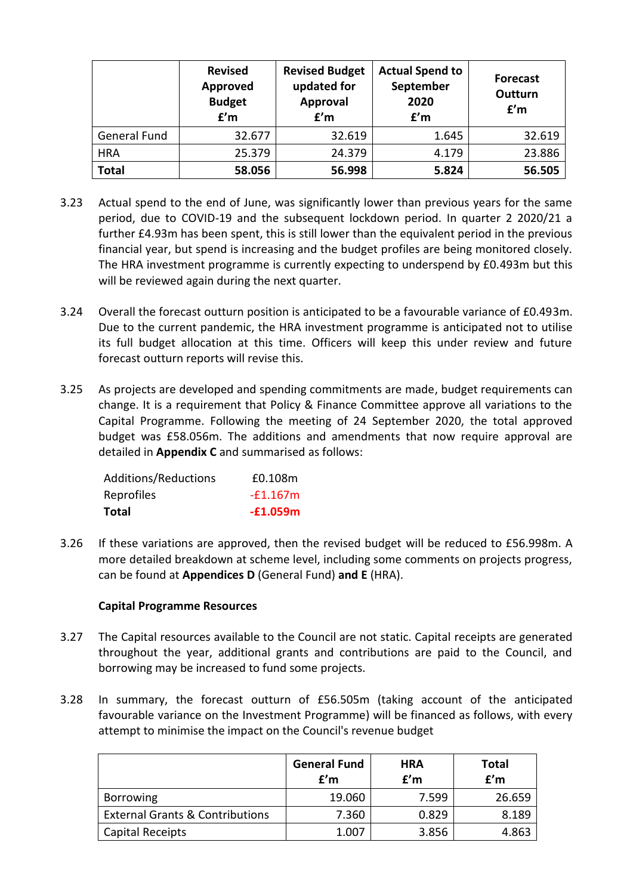|                     | <b>Revised</b><br>Approved<br><b>Budget</b><br>f'm | <b>Revised Budget</b><br>updated for<br>Approval<br>f'm | <b>Actual Spend to</b><br>September<br>2020<br>f'm | <b>Forecast</b><br>Outturn<br>f'm |
|---------------------|----------------------------------------------------|---------------------------------------------------------|----------------------------------------------------|-----------------------------------|
| <b>General Fund</b> | 32.677                                             | 32.619                                                  | 1.645                                              | 32.619                            |
| <b>HRA</b>          | 25.379                                             | 24.379                                                  | 4.179                                              | 23.886                            |
| <b>Total</b>        | 58.056                                             | 56.998                                                  | 5.824                                              | 56.505                            |

- 3.23 Actual spend to the end of June, was significantly lower than previous years for the same period, due to COVID-19 and the subsequent lockdown period. In quarter 2 2020/21 a further £4.93m has been spent, this is still lower than the equivalent period in the previous financial year, but spend is increasing and the budget profiles are being monitored closely. The HRA investment programme is currently expecting to underspend by £0.493m but this will be reviewed again during the next quarter.
- 3.24 Overall the forecast outturn position is anticipated to be a favourable variance of £0.493m. Due to the current pandemic, the HRA investment programme is anticipated not to utilise its full budget allocation at this time. Officers will keep this under review and future forecast outturn reports will revise this.
- 3.25 As projects are developed and spending commitments are made, budget requirements can change. It is a requirement that Policy & Finance Committee approve all variations to the Capital Programme. Following the meeting of 24 September 2020, the total approved budget was £58.056m. The additions and amendments that now require approval are detailed in **Appendix C** and summarised as follows:

| <b>Total</b>         | $-£1.059m$ |
|----------------------|------------|
| Reprofiles           | $-£1.167m$ |
| Additions/Reductions | £0.108m    |

3.26 If these variations are approved, then the revised budget will be reduced to £56.998m. A more detailed breakdown at scheme level, including some comments on projects progress, can be found at **Appendices D** (General Fund) **and E** (HRA).

# **Capital Programme Resources**

- 3.27 The Capital resources available to the Council are not static. Capital receipts are generated throughout the year, additional grants and contributions are paid to the Council, and borrowing may be increased to fund some projects.
- 3.28 In summary, the forecast outturn of £56.505m (taking account of the anticipated favourable variance on the Investment Programme) will be financed as follows, with every attempt to minimise the impact on the Council's revenue budget

|                                            | <b>General Fund</b><br>f'm | <b>HRA</b><br>f'm | <b>Total</b><br>f'm |
|--------------------------------------------|----------------------------|-------------------|---------------------|
| <b>Borrowing</b>                           | 19.060                     | 7.599             | 26.659              |
| <b>External Grants &amp; Contributions</b> | 7.360                      | 0.829             | 8.189               |
| Capital Receipts                           | 1.007                      | 3.856             | 4.863               |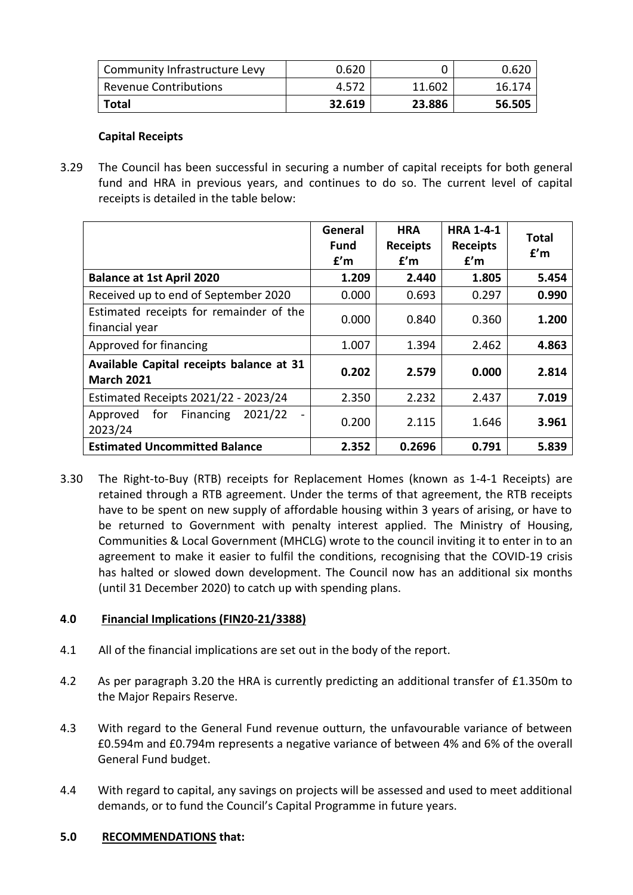| Community Infrastructure Levy | 0.620  |        | 0.620  |
|-------------------------------|--------|--------|--------|
| Revenue Contributions         | 4.572  | 11.602 | 16.174 |
| Total                         | 32.619 | 23.886 | 56.505 |

### **Capital Receipts**

3.29 The Council has been successful in securing a number of capital receipts for both general fund and HRA in previous years, and continues to do so. The current level of capital receipts is detailed in the table below:

|                                                               | General<br><b>Fund</b><br>f'm | <b>HRA</b><br><b>Receipts</b><br>f'm | <b>HRA 1-4-1</b><br><b>Receipts</b><br>f'm | <b>Total</b><br>f'm |
|---------------------------------------------------------------|-------------------------------|--------------------------------------|--------------------------------------------|---------------------|
| <b>Balance at 1st April 2020</b>                              | 1.209                         | 2.440                                | 1.805                                      | 5.454               |
| Received up to end of September 2020                          | 0.000                         | 0.693                                | 0.297                                      | 0.990               |
| Estimated receipts for remainder of the<br>financial year     | 0.000                         | 0.840                                | 0.360                                      | 1.200               |
| Approved for financing                                        | 1.007                         | 1.394                                | 2.462                                      | 4.863               |
| Available Capital receipts balance at 31<br><b>March 2021</b> | 0.202                         | 2.579                                | 0.000                                      | 2.814               |
| Estimated Receipts 2021/22 - 2023/24                          | 2.350                         | 2.232                                | 2.437                                      | 7.019               |
| 2021/22<br>for<br>Financing<br>Approved<br>2023/24            | 0.200                         | 2.115                                | 1.646                                      | 3.961               |
| <b>Estimated Uncommitted Balance</b>                          | 2.352                         | 0.2696                               | 0.791                                      | 5.839               |

3.30 The Right-to-Buy (RTB) receipts for Replacement Homes (known as 1-4-1 Receipts) are retained through a RTB agreement. Under the terms of that agreement, the RTB receipts have to be spent on new supply of affordable housing within 3 years of arising, or have to be returned to Government with penalty interest applied. The Ministry of Housing, Communities & Local Government (MHCLG) wrote to the council inviting it to enter in to an agreement to make it easier to fulfil the conditions, recognising that the COVID-19 crisis has halted or slowed down development. The Council now has an additional six months (until 31 December 2020) to catch up with spending plans.

# **4**.**0 Financial Implications (FIN20-21/3388)**

- 4.1 All of the financial implications are set out in the body of the report.
- 4.2 As per paragraph 3.20 the HRA is currently predicting an additional transfer of £1.350m to the Major Repairs Reserve.
- 4.3 With regard to the General Fund revenue outturn, the unfavourable variance of between £0.594m and £0.794m represents a negative variance of between 4% and 6% of the overall General Fund budget.
- 4.4 With regard to capital, any savings on projects will be assessed and used to meet additional demands, or to fund the Council's Capital Programme in future years.

#### **5.0 RECOMMENDATIONS that:**